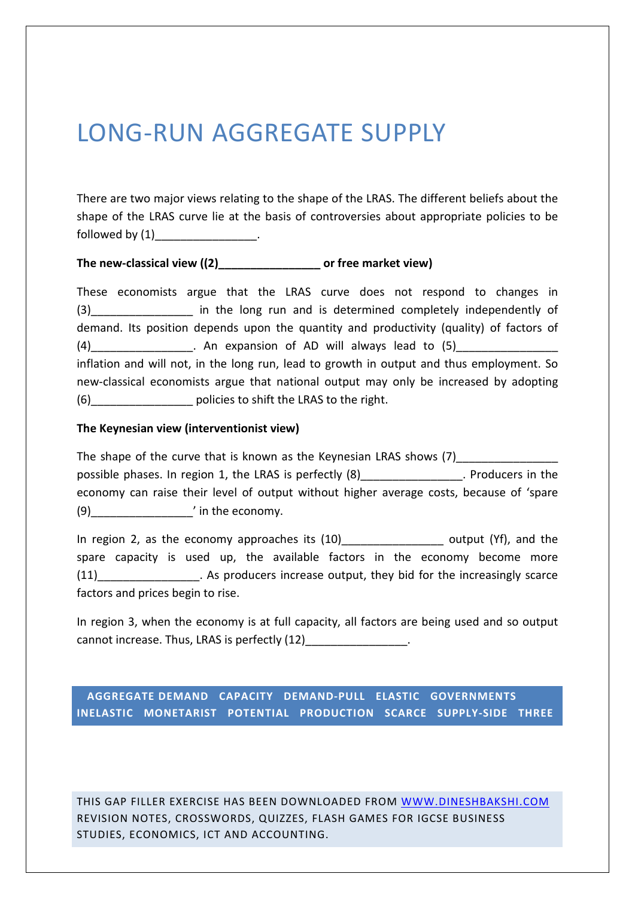# LONG-RUN AGGREGATE SUPPLY

There are two major views relating to the shape of the LRAS. The different beliefs about the shape of the LRAS curve lie at the basis of controversies about appropriate policies to be followed by  $(1)$  \_\_\_\_\_\_\_\_\_\_\_.

### **The new-classical view ((2)\_\_\_\_\_\_\_\_\_\_\_\_\_\_\_\_ or free market view)**

These economists argue that the LRAS curve does not respond to changes in (3) The long run and is determined completely independently of demand. Its position depends upon the quantity and productivity (quality) of factors of (4) The expansion of AD will always lead to  $(5)$ inflation and will not, in the long run, lead to growth in output and thus employment. So new-classical economists argue that national output may only be increased by adopting (6) \_\_\_\_\_\_\_\_\_\_\_\_\_\_\_\_\_ policies to shift the LRAS to the right.

#### **The Keynesian view (interventionist view)**

The shape of the curve that is known as the Keynesian LRAS shows (7) possible phases. In region 1, the LRAS is perfectly (8) The Section 1 and the producers in the economy can raise their level of output without higher average costs, because of 'spare (9)\_\_\_\_\_\_\_\_\_\_\_\_\_\_\_\_' in the economy.

In region 2, as the economy approaches its (10) example the controller output (Yf), and the spare capacity is used up, the available factors in the economy become more (11) As producers increase output, they bid for the increasingly scarce factors and prices begin to rise.

In region 3, when the economy is at full capacity, all factors are being used and so output cannot increase. Thus, LRAS is perfectly (12) The cannot increase. Thus, LRAS is perfectly (12)

 **AGGREGATE DEMAND CAPACITY DEMAND-PULL ELASTIC GOVERNMENTS INELASTIC MONETARIST POTENTIAL PRODUCTION SCARCE SUPPLY-SIDE THREE** 

THIS GAP FILLER EXERCISE HAS BEEN DOWNLOADED FROM WWW.DINESHBAKSHI.COM REVISION NOTES, CROSSWORDS, QUIZZES, FLASH GAMES FOR IGCSE BUSINESS STUDIES, ECONOMICS, ICT AND ACCOUNTING.